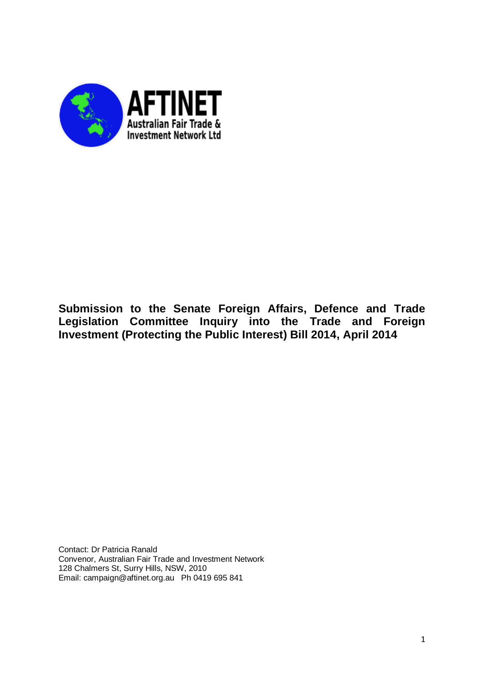

# **Submission to the Senate Foreign Affairs, Defence and Trade Legislation Committee Inquiry into the Trade and Foreign Investment (Protecting the Public Interest) Bill 2014, April 2014**

Contact: Dr Patricia Ranald Convenor, Australian Fair Trade and Investment Network 128 Chalmers St, Surry Hills, NSW, 2010 Email: campaign@aftinet.org.au Ph 0419 695 841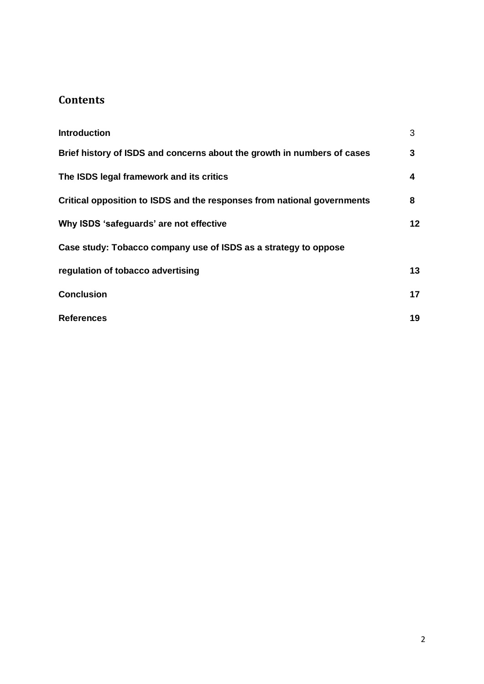# **Contents**

| <b>Introduction</b>                                                     | 3  |
|-------------------------------------------------------------------------|----|
| Brief history of ISDS and concerns about the growth in numbers of cases | 3  |
| The ISDS legal framework and its critics                                | 4  |
| Critical opposition to ISDS and the responses from national governments | 8  |
| Why ISDS 'safeguards' are not effective                                 | 12 |
| Case study: Tobacco company use of ISDS as a strategy to oppose         |    |
| regulation of tobacco advertising                                       | 13 |
| <b>Conclusion</b>                                                       | 17 |
| <b>References</b>                                                       | 19 |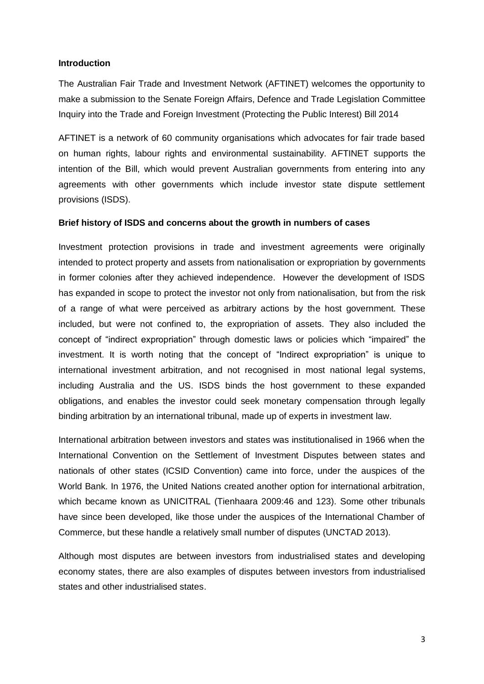### **Introduction**

The Australian Fair Trade and Investment Network (AFTINET) welcomes the opportunity to make a submission to the Senate Foreign Affairs, Defence and Trade Legislation Committee Inquiry into the Trade and Foreign Investment (Protecting the Public Interest) Bill 2014

AFTINET is a network of 60 community organisations which advocates for fair trade based on human rights, labour rights and environmental sustainability. AFTINET supports the intention of the Bill, which would prevent Australian governments from entering into any agreements with other governments which include investor state dispute settlement provisions (ISDS).

#### **Brief history of ISDS and concerns about the growth in numbers of cases**

Investment protection provisions in trade and investment agreements were originally intended to protect property and assets from nationalisation or expropriation by governments in former colonies after they achieved independence. However the development of ISDS has expanded in scope to protect the investor not only from nationalisation, but from the risk of a range of what were perceived as arbitrary actions by the host government. These included, but were not confined to, the expropriation of assets. They also included the concept of "indirect expropriation" through domestic laws or policies which "impaired" the investment. It is worth noting that the concept of "Indirect expropriation" is unique to international investment arbitration, and not recognised in most national legal systems, including Australia and the US. ISDS binds the host government to these expanded obligations, and enables the investor could seek monetary compensation through legally binding arbitration by an international tribunal, made up of experts in investment law.

International arbitration between investors and states was institutionalised in 1966 when the International Convention on the Settlement of Investment Disputes between states and nationals of other states (ICSID Convention) came into force, under the auspices of the World Bank. In 1976, the United Nations created another option for international arbitration, which became known as UNICITRAL (Tienhaara 2009:46 and 123). Some other tribunals have since been developed, like those under the auspices of the International Chamber of Commerce, but these handle a relatively small number of disputes (UNCTAD 2013).

Although most disputes are between investors from industrialised states and developing economy states, there are also examples of disputes between investors from industrialised states and other industrialised states.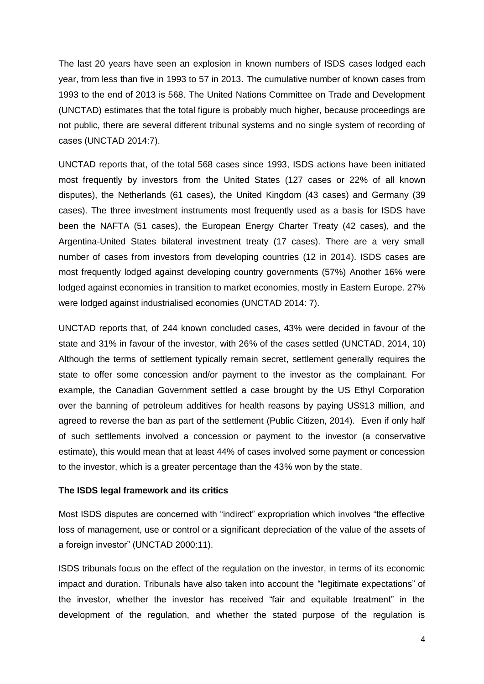The last 20 years have seen an explosion in known numbers of ISDS cases lodged each year, from less than five in 1993 to 57 in 2013. The cumulative number of known cases from 1993 to the end of 2013 is 568. The United Nations Committee on Trade and Development (UNCTAD) estimates that the total figure is probably much higher, because proceedings are not public, there are several different tribunal systems and no single system of recording of cases (UNCTAD 2014:7).

UNCTAD reports that, of the total 568 cases since 1993, ISDS actions have been initiated most frequently by investors from the United States (127 cases or 22% of all known disputes), the Netherlands (61 cases), the United Kingdom (43 cases) and Germany (39 cases). The three investment instruments most frequently used as a basis for ISDS have been the NAFTA (51 cases), the European Energy Charter Treaty (42 cases), and the Argentina-United States bilateral investment treaty (17 cases). There are a very small number of cases from investors from developing countries (12 in 2014). ISDS cases are most frequently lodged against developing country governments (57%) Another 16% were lodged against economies in transition to market economies, mostly in Eastern Europe. 27% were lodged against industrialised economies (UNCTAD 2014: 7).

UNCTAD reports that, of 244 known concluded cases, 43% were decided in favour of the state and 31% in favour of the investor, with 26% of the cases settled (UNCTAD, 2014, 10) Although the terms of settlement typically remain secret, settlement generally requires the state to offer some concession and/or payment to the investor as the complainant. For example, the Canadian Government settled a case brought by the US Ethyl Corporation over the banning of petroleum additives for health reasons by paying US\$13 million, and agreed to reverse the ban as part of the settlement (Public Citizen, 2014). Even if only half of such settlements involved a concession or payment to the investor (a conservative estimate), this would mean that at least 44% of cases involved some payment or concession to the investor, which is a greater percentage than the 43% won by the state.

#### **The ISDS legal framework and its critics**

Most ISDS disputes are concerned with "indirect" expropriation which involves "the effective loss of management, use or control or a significant depreciation of the value of the assets of a foreign investor" (UNCTAD 2000:11).

ISDS tribunals focus on the effect of the regulation on the investor, in terms of its economic impact and duration. Tribunals have also taken into account the "legitimate expectations" of the investor, whether the investor has received "fair and equitable treatment" in the development of the regulation, and whether the stated purpose of the regulation is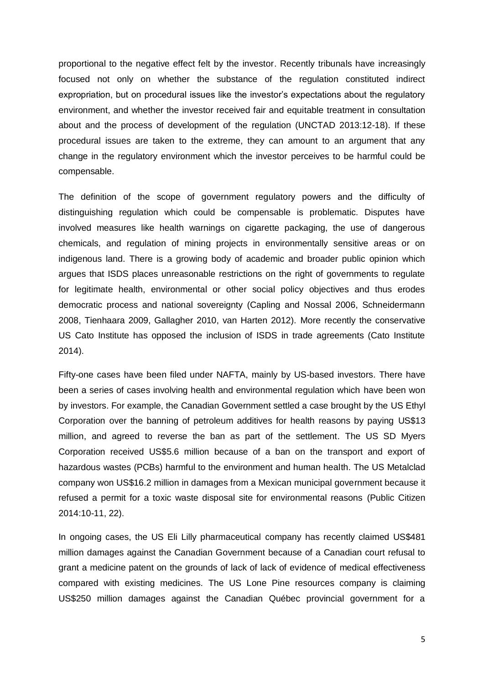proportional to the negative effect felt by the investor. Recently tribunals have increasingly focused not only on whether the substance of the regulation constituted indirect expropriation, but on procedural issues like the investor's expectations about the regulatory environment, and whether the investor received fair and equitable treatment in consultation about and the process of development of the regulation (UNCTAD 2013:12-18). If these procedural issues are taken to the extreme, they can amount to an argument that any change in the regulatory environment which the investor perceives to be harmful could be compensable.

The definition of the scope of government regulatory powers and the difficulty of distinguishing regulation which could be compensable is problematic. Disputes have involved measures like health warnings on cigarette packaging, the use of dangerous chemicals, and regulation of mining projects in environmentally sensitive areas or on indigenous land. There is a growing body of academic and broader public opinion which argues that ISDS places unreasonable restrictions on the right of governments to regulate for legitimate health, environmental or other social policy objectives and thus erodes democratic process and national sovereignty (Capling and Nossal 2006, Schneidermann 2008, Tienhaara 2009, Gallagher 2010, van Harten 2012). More recently the conservative US Cato Institute has opposed the inclusion of ISDS in trade agreements (Cato Institute 2014).

Fifty-one cases have been filed under NAFTA, mainly by US-based investors. There have been a series of cases involving health and environmental regulation which have been won by investors. For example, the Canadian Government settled a case brought by the US Ethyl Corporation over the banning of petroleum additives for health reasons by paying US\$13 million, and agreed to reverse the ban as part of the settlement. The US SD Myers Corporation received US\$5.6 million because of a ban on the transport and export of hazardous wastes (PCBs) harmful to the environment and human health. The US Metalclad company won US\$16.2 million in damages from a Mexican municipal government because it refused a permit for a toxic waste disposal site for environmental reasons (Public Citizen 2014:10-11, 22).

In ongoing cases, the US Eli Lilly pharmaceutical company has recently claimed US\$481 million damages against the Canadian Government because of a Canadian court refusal to grant a medicine patent on the grounds of lack of lack of evidence of medical effectiveness compared with existing medicines. The US Lone Pine resources company is claiming US\$250 million damages against the Canadian Québec provincial government for a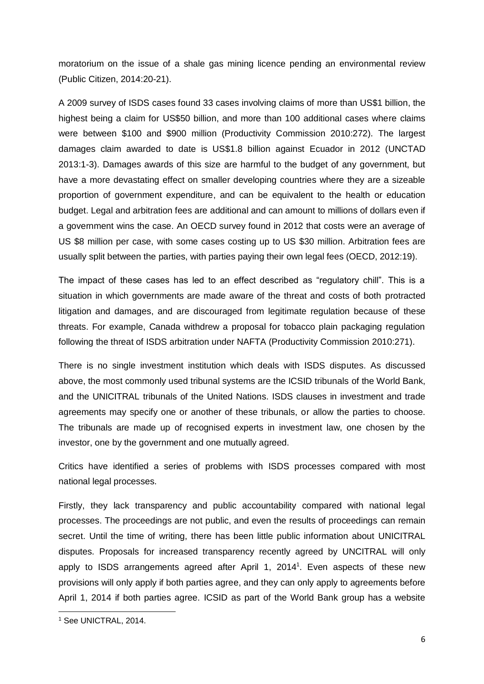moratorium on the issue of a shale gas mining licence pending an environmental review (Public Citizen, 2014:20-21).

A 2009 survey of ISDS cases found 33 cases involving claims of more than US\$1 billion, the highest being a claim for US\$50 billion, and more than 100 additional cases where claims were between \$100 and \$900 million (Productivity Commission 2010:272). The largest damages claim awarded to date is US\$1.8 billion against Ecuador in 2012 (UNCTAD 2013:1-3). Damages awards of this size are harmful to the budget of any government, but have a more devastating effect on smaller developing countries where they are a sizeable proportion of government expenditure, and can be equivalent to the health or education budget. Legal and arbitration fees are additional and can amount to millions of dollars even if a government wins the case. An OECD survey found in 2012 that costs were an average of US \$8 million per case, with some cases costing up to US \$30 million. Arbitration fees are usually split between the parties, with parties paying their own legal fees (OECD, 2012:19).

The impact of these cases has led to an effect described as "regulatory chill". This is a situation in which governments are made aware of the threat and costs of both protracted litigation and damages, and are discouraged from legitimate regulation because of these threats. For example, Canada withdrew a proposal for tobacco plain packaging regulation following the threat of ISDS arbitration under NAFTA (Productivity Commission 2010:271).

There is no single investment institution which deals with ISDS disputes. As discussed above, the most commonly used tribunal systems are the ICSID tribunals of the World Bank, and the UNICITRAL tribunals of the United Nations. ISDS clauses in investment and trade agreements may specify one or another of these tribunals, or allow the parties to choose. The tribunals are made up of recognised experts in investment law, one chosen by the investor, one by the government and one mutually agreed.

Critics have identified a series of problems with ISDS processes compared with most national legal processes.

Firstly, they lack transparency and public accountability compared with national legal processes. The proceedings are not public, and even the results of proceedings can remain secret. Until the time of writing, there has been little public information about UNICITRAL disputes. Proposals for increased transparency recently agreed by UNCITRAL will only apply to ISDS arrangements agreed after April 1, 2014<sup>1</sup>. Even aspects of these new provisions will only apply if both parties agree, and they can only apply to agreements before April 1, 2014 if both parties agree. ICSID as part of the World Bank group has a website

**.** 

<sup>1</sup> See UNICTRAL, 2014.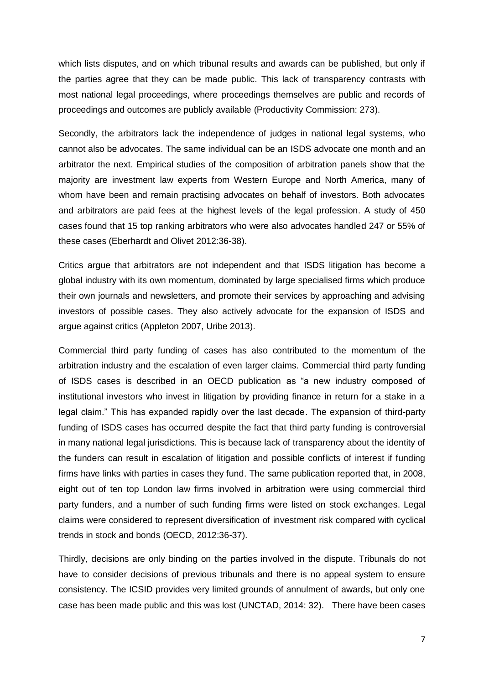which lists disputes, and on which tribunal results and awards can be published, but only if the parties agree that they can be made public. This lack of transparency contrasts with most national legal proceedings, where proceedings themselves are public and records of proceedings and outcomes are publicly available (Productivity Commission: 273).

Secondly, the arbitrators lack the independence of judges in national legal systems, who cannot also be advocates. The same individual can be an ISDS advocate one month and an arbitrator the next. Empirical studies of the composition of arbitration panels show that the majority are investment law experts from Western Europe and North America, many of whom have been and remain practising advocates on behalf of investors. Both advocates and arbitrators are paid fees at the highest levels of the legal profession. A study of 450 cases found that 15 top ranking arbitrators who were also advocates handled 247 or 55% of these cases (Eberhardt and Olivet 2012:36-38).

Critics argue that arbitrators are not independent and that ISDS litigation has become a global industry with its own momentum, dominated by large specialised firms which produce their own journals and newsletters, and promote their services by approaching and advising investors of possible cases. They also actively advocate for the expansion of ISDS and argue against critics (Appleton 2007, Uribe 2013).

Commercial third party funding of cases has also contributed to the momentum of the arbitration industry and the escalation of even larger claims. Commercial third party funding of ISDS cases is described in an OECD publication as "a new industry composed of institutional investors who invest in litigation by providing finance in return for a stake in a legal claim." This has expanded rapidly over the last decade. The expansion of third-party funding of ISDS cases has occurred despite the fact that third party funding is controversial in many national legal jurisdictions. This is because lack of transparency about the identity of the funders can result in escalation of litigation and possible conflicts of interest if funding firms have links with parties in cases they fund. The same publication reported that, in 2008, eight out of ten top London law firms involved in arbitration were using commercial third party funders, and a number of such funding firms were listed on stock exchanges. Legal claims were considered to represent diversification of investment risk compared with cyclical trends in stock and bonds (OECD, 2012:36-37).

Thirdly, decisions are only binding on the parties involved in the dispute. Tribunals do not have to consider decisions of previous tribunals and there is no appeal system to ensure consistency. The ICSID provides very limited grounds of annulment of awards, but only one case has been made public and this was lost (UNCTAD, 2014: 32). There have been cases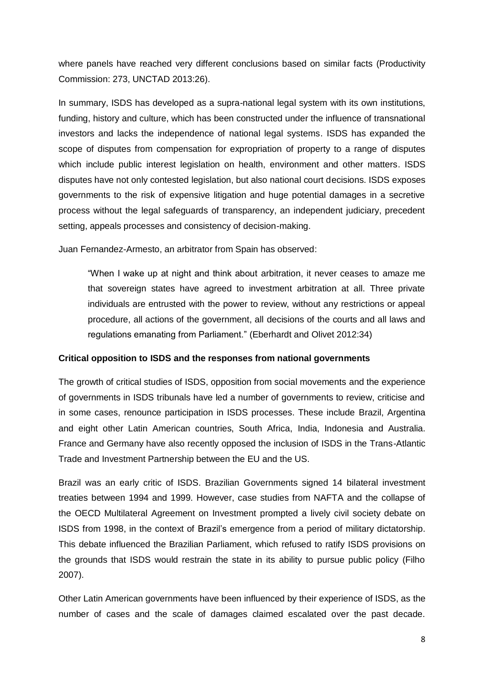where panels have reached very different conclusions based on similar facts (Productivity Commission: 273, UNCTAD 2013:26).

In summary, ISDS has developed as a supra-national legal system with its own institutions, funding, history and culture, which has been constructed under the influence of transnational investors and lacks the independence of national legal systems. ISDS has expanded the scope of disputes from compensation for expropriation of property to a range of disputes which include public interest legislation on health, environment and other matters. ISDS disputes have not only contested legislation, but also national court decisions. ISDS exposes governments to the risk of expensive litigation and huge potential damages in a secretive process without the legal safeguards of transparency, an independent judiciary, precedent setting, appeals processes and consistency of decision-making.

Juan Fernandez-Armesto, an arbitrator from Spain has observed:

"When I wake up at night and think about arbitration, it never ceases to amaze me that sovereign states have agreed to investment arbitration at all. Three private individuals are entrusted with the power to review, without any restrictions or appeal procedure, all actions of the government, all decisions of the courts and all laws and regulations emanating from Parliament." (Eberhardt and Olivet 2012:34)

# **Critical opposition to ISDS and the responses from national governments**

The growth of critical studies of ISDS, opposition from social movements and the experience of governments in ISDS tribunals have led a number of governments to review, criticise and in some cases, renounce participation in ISDS processes. These include Brazil, Argentina and eight other Latin American countries, South Africa, India, Indonesia and Australia. France and Germany have also recently opposed the inclusion of ISDS in the Trans-Atlantic Trade and Investment Partnership between the EU and the US.

Brazil was an early critic of ISDS. Brazilian Governments signed 14 bilateral investment treaties between 1994 and 1999. However, case studies from NAFTA and the collapse of the OECD Multilateral Agreement on Investment prompted a lively civil society debate on ISDS from 1998, in the context of Brazil's emergence from a period of military dictatorship. This debate influenced the Brazilian Parliament, which refused to ratify ISDS provisions on the grounds that ISDS would restrain the state in its ability to pursue public policy (Filho 2007).

Other Latin American governments have been influenced by their experience of ISDS, as the number of cases and the scale of damages claimed escalated over the past decade.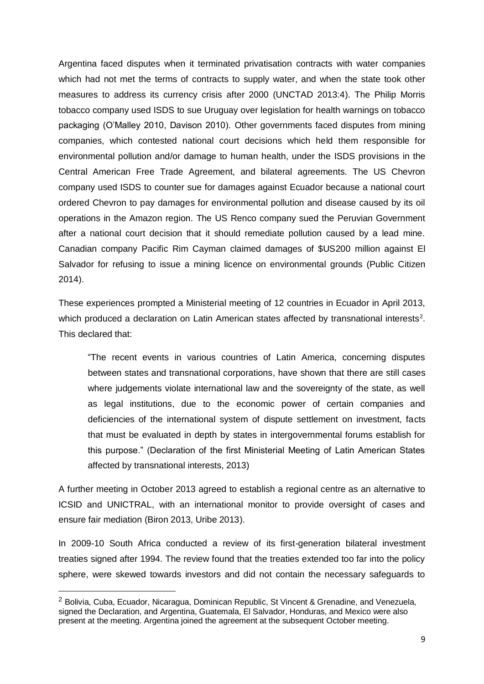Argentina faced disputes when it terminated privatisation contracts with water companies which had not met the terms of contracts to supply water, and when the state took other measures to address its currency crisis after 2000 (UNCTAD 2013:4). The Philip Morris tobacco company used ISDS to sue Uruguay over legislation for health warnings on tobacco packaging (O'Malley 2010, Davison 2010). Other governments faced disputes from mining companies, which contested national court decisions which held them responsible for environmental pollution and/or damage to human health, under the ISDS provisions in the Central American Free Trade Agreement, and bilateral agreements. The US Chevron company used ISDS to counter sue for damages against Ecuador because a national court ordered Chevron to pay damages for environmental pollution and disease caused by its oil operations in the Amazon region. The US Renco company sued the Peruvian Government after a national court decision that it should remediate pollution caused by a lead mine. Canadian company Pacific Rim Cayman claimed damages of \$US200 million against El Salvador for refusing to issue a mining licence on environmental grounds (Public Citizen 2014).

These experiences prompted a Ministerial meeting of 12 countries in Ecuador in April 2013, which produced a declaration on Latin American states affected by transnational interests<sup>2</sup>. This declared that:

"The recent events in various countries of Latin America, concerning disputes between states and transnational corporations, have shown that there are still cases where judgements violate international law and the sovereignty of the state, as well as legal institutions, due to the economic power of certain companies and deficiencies of the international system of dispute settlement on investment, facts that must be evaluated in depth by states in intergovernmental forums establish for this purpose." (Declaration of the first Ministerial Meeting of Latin American States affected by transnational interests, 2013)

A further meeting in October 2013 agreed to establish a regional centre as an alternative to ICSID and UNICTRAL, with an international monitor to provide oversight of cases and ensure fair mediation (Biron 2013, Uribe 2013).

In 2009-10 South Africa conducted a review of its first-generation bilateral investment treaties signed after 1994. The review found that the treaties extended too far into the policy sphere, were skewed towards investors and did not contain the necessary safeguards to

**.** 

<sup>2</sup> Bolivia, Cuba, Ecuador, Nicaragua, Dominican Republic, St Vincent & Grenadine, and Venezuela, signed the Declaration, and Argentina, Guatemala, El Salvador, Honduras, and Mexico were also present at the meeting. Argentina joined the agreement at the subsequent October meeting.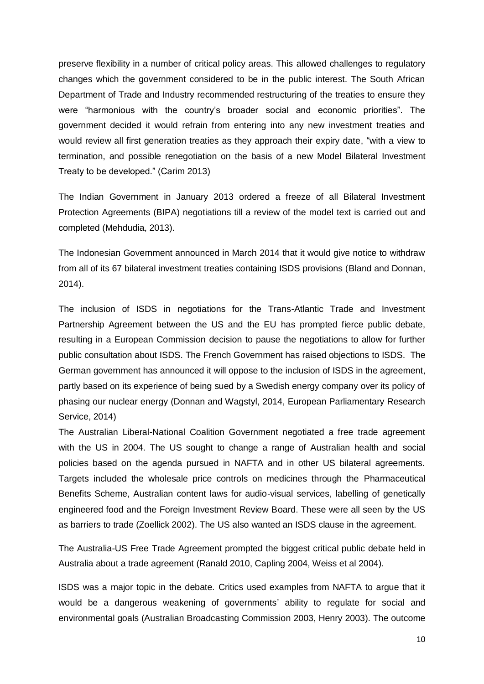preserve flexibility in a number of critical policy areas. This allowed challenges to regulatory changes which the government considered to be in the public interest. The South African Department of Trade and Industry recommended restructuring of the treaties to ensure they were "harmonious with the country's broader social and economic priorities". The government decided it would refrain from entering into any new investment treaties and would review all first generation treaties as they approach their expiry date, "with a view to termination, and possible renegotiation on the basis of a new Model Bilateral Investment Treaty to be developed." (Carim 2013)

The Indian Government in January 2013 ordered a freeze of all Bilateral Investment Protection Agreements (BIPA) negotiations till a review of the model text is carried out and completed (Mehdudia, 2013).

The Indonesian Government announced in March 2014 that it would give notice to withdraw from all of its 67 bilateral investment treaties containing ISDS provisions (Bland and Donnan, 2014).

The inclusion of ISDS in negotiations for the Trans-Atlantic Trade and Investment Partnership Agreement between the US and the EU has prompted fierce public debate, resulting in a European Commission decision to pause the negotiations to allow for further public consultation about ISDS. The French Government has raised objections to ISDS. The German government has announced it will oppose to the inclusion of ISDS in the agreement, partly based on its experience of being sued by a Swedish energy company over its policy of phasing our nuclear energy (Donnan and Wagstyl, 2014, European Parliamentary Research Service, 2014)

The Australian Liberal-National Coalition Government negotiated a free trade agreement with the US in 2004. The US sought to change a range of Australian health and social policies based on the agenda pursued in NAFTA and in other US bilateral agreements. Targets included the wholesale price controls on medicines through the Pharmaceutical Benefits Scheme, Australian content laws for audio-visual services, labelling of genetically engineered food and the Foreign Investment Review Board. These were all seen by the US as barriers to trade (Zoellick 2002). The US also wanted an ISDS clause in the agreement.

The Australia-US Free Trade Agreement prompted the biggest critical public debate held in Australia about a trade agreement (Ranald 2010, Capling 2004, Weiss et al 2004).

ISDS was a major topic in the debate. Critics used examples from NAFTA to argue that it would be a dangerous weakening of governments' ability to regulate for social and environmental goals (Australian Broadcasting Commission 2003, Henry 2003). The outcome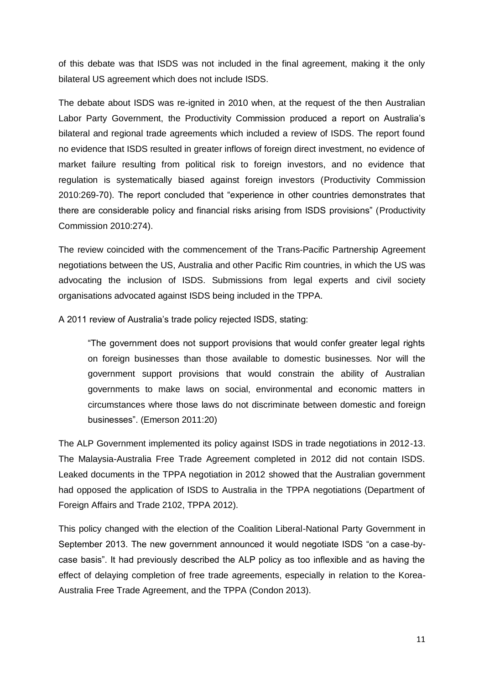of this debate was that ISDS was not included in the final agreement, making it the only bilateral US agreement which does not include ISDS.

The debate about ISDS was re-ignited in 2010 when, at the request of the then Australian Labor Party Government, the Productivity Commission produced a report on Australia's bilateral and regional trade agreements which included a review of ISDS. The report found no evidence that ISDS resulted in greater inflows of foreign direct investment, no evidence of market failure resulting from political risk to foreign investors, and no evidence that regulation is systematically biased against foreign investors (Productivity Commission 2010:269-70). The report concluded that "experience in other countries demonstrates that there are considerable policy and financial risks arising from ISDS provisions" (Productivity Commission 2010:274).

The review coincided with the commencement of the Trans-Pacific Partnership Agreement negotiations between the US, Australia and other Pacific Rim countries, in which the US was advocating the inclusion of ISDS. Submissions from legal experts and civil society organisations advocated against ISDS being included in the TPPA.

A 2011 review of Australia's trade policy rejected ISDS, stating:

"The government does not support provisions that would confer greater legal rights on foreign businesses than those available to domestic businesses. Nor will the government support provisions that would constrain the ability of Australian governments to make laws on social, environmental and economic matters in circumstances where those laws do not discriminate between domestic and foreign businesses". (Emerson 2011:20)

The ALP Government implemented its policy against ISDS in trade negotiations in 2012-13. The Malaysia-Australia Free Trade Agreement completed in 2012 did not contain ISDS. Leaked documents in the TPPA negotiation in 2012 showed that the Australian government had opposed the application of ISDS to Australia in the TPPA negotiations (Department of Foreign Affairs and Trade 2102, TPPA 2012).

This policy changed with the election of the Coalition Liberal-National Party Government in September 2013. The new government announced it would negotiate ISDS "on a case-bycase basis". It had previously described the ALP policy as too inflexible and as having the effect of delaying completion of free trade agreements, especially in relation to the Korea-Australia Free Trade Agreement, and the TPPA (Condon 2013).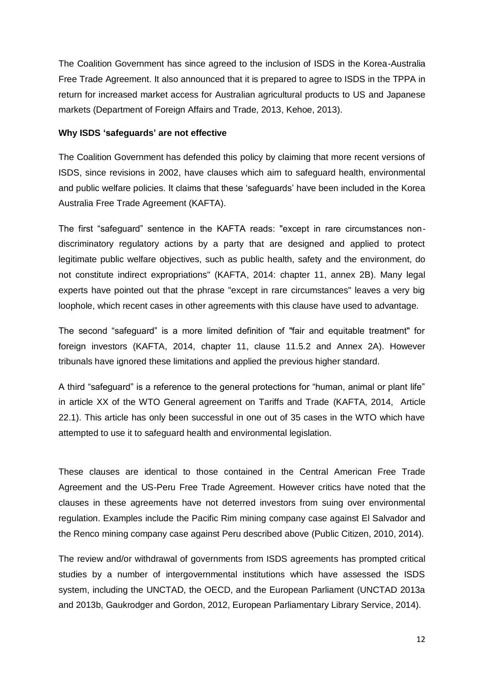The Coalition Government has since agreed to the inclusion of ISDS in the Korea-Australia Free Trade Agreement. It also announced that it is prepared to agree to ISDS in the TPPA in return for increased market access for Australian agricultural products to US and Japanese markets (Department of Foreign Affairs and Trade, 2013, Kehoe, 2013).

# **Why ISDS 'safeguards' are not effective**

The Coalition Government has defended this policy by claiming that more recent versions of ISDS, since revisions in 2002, have clauses which aim to safeguard health, environmental and public welfare policies. It claims that these 'safeguards' have been included in the Korea Australia Free Trade Agreement (KAFTA).

The first "safeguard" sentence in the KAFTA reads: "except in rare circumstances nondiscriminatory regulatory actions by a party that are designed and applied to protect legitimate public welfare objectives, such as public health, safety and the environment, do not constitute indirect expropriations" (KAFTA, 2014: chapter 11, annex 2B). Many legal experts have pointed out that the phrase "except in rare circumstances" leaves a very big loophole, which recent cases in other agreements with this clause have used to advantage.

The second "safeguard" is a more limited definition of "fair and equitable treatment" for foreign investors (KAFTA, 2014, chapter 11, clause 11.5.2 and Annex 2A). However tribunals have ignored these limitations and applied the previous higher standard.

A third "safeguard" is a reference to the general protections for "human, animal or plant life" in article XX of the WTO General agreement on Tariffs and Trade (KAFTA, 2014, Article 22.1). This article has only been successful in one out of 35 cases in the WTO which have attempted to use it to safeguard health and environmental legislation.

These clauses are identical to those contained in the Central American Free Trade Agreement and the US-Peru Free Trade Agreement. However critics have noted that the clauses in these agreements have not deterred investors from suing over environmental regulation. Examples include the Pacific Rim mining company case against El Salvador and the Renco mining company case against Peru described above (Public Citizen, 2010, 2014).

The review and/or withdrawal of governments from ISDS agreements has prompted critical studies by a number of intergovernmental institutions which have assessed the ISDS system, including the UNCTAD, the OECD, and the European Parliament (UNCTAD 2013a and 2013b, Gaukrodger and Gordon, 2012, European Parliamentary Library Service, 2014).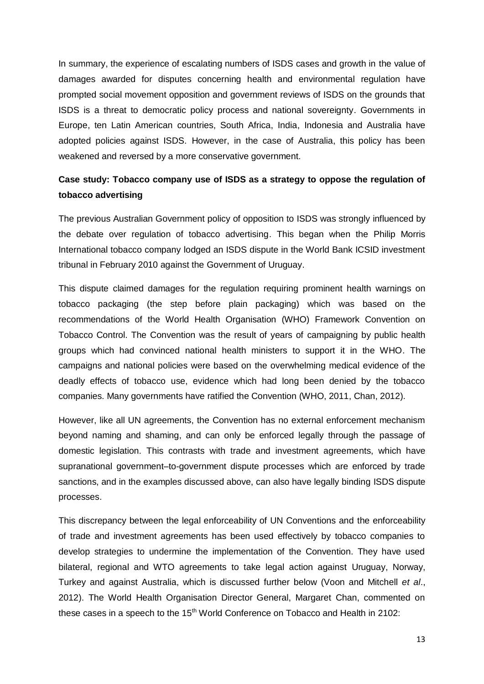In summary, the experience of escalating numbers of ISDS cases and growth in the value of damages awarded for disputes concerning health and environmental regulation have prompted social movement opposition and government reviews of ISDS on the grounds that ISDS is a threat to democratic policy process and national sovereignty. Governments in Europe, ten Latin American countries, South Africa, India, Indonesia and Australia have adopted policies against ISDS. However, in the case of Australia, this policy has been weakened and reversed by a more conservative government.

# **Case study: Tobacco company use of ISDS as a strategy to oppose the regulation of tobacco advertising**

The previous Australian Government policy of opposition to ISDS was strongly influenced by the debate over regulation of tobacco advertising. This began when the Philip Morris International tobacco company lodged an ISDS dispute in the World Bank ICSID investment tribunal in February 2010 against the Government of Uruguay.

This dispute claimed damages for the regulation requiring prominent health warnings on tobacco packaging (the step before plain packaging) which was based on the recommendations of the World Health Organisation (WHO) Framework Convention on Tobacco Control. The Convention was the result of years of campaigning by public health groups which had convinced national health ministers to support it in the WHO. The campaigns and national policies were based on the overwhelming medical evidence of the deadly effects of tobacco use, evidence which had long been denied by the tobacco companies. Many governments have ratified the Convention (WHO, 2011, Chan, 2012).

However, like all UN agreements, the Convention has no external enforcement mechanism beyond naming and shaming, and can only be enforced legally through the passage of domestic legislation. This contrasts with trade and investment agreements, which have supranational government–to-government dispute processes which are enforced by trade sanctions, and in the examples discussed above, can also have legally binding ISDS dispute processes.

This discrepancy between the legal enforceability of UN Conventions and the enforceability of trade and investment agreements has been used effectively by tobacco companies to develop strategies to undermine the implementation of the Convention. They have used bilateral, regional and WTO agreements to take legal action against Uruguay, Norway, Turkey and against Australia, which is discussed further below (Voon and Mitchell *et al*., 2012). The World Health Organisation Director General, Margaret Chan, commented on these cases in a speech to the 15<sup>th</sup> World Conference on Tobacco and Health in 2102: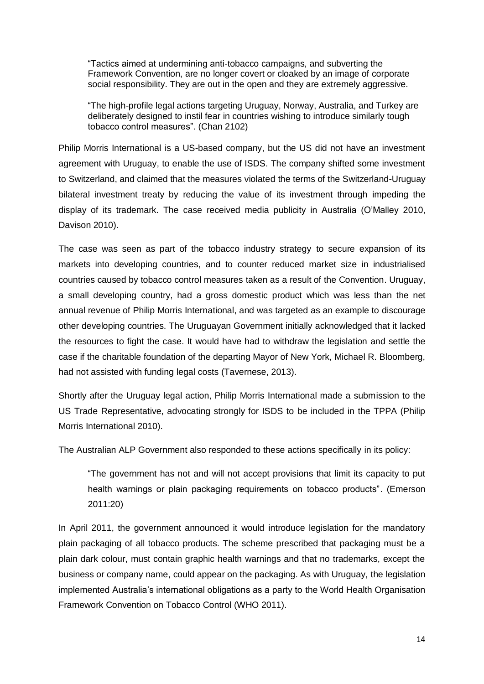"Tactics aimed at undermining anti-tobacco campaigns, and subverting the Framework Convention, are no longer covert or cloaked by an image of corporate social responsibility. They are out in the open and they are extremely aggressive.

"The high-profile legal actions targeting Uruguay, Norway, Australia, and Turkey are deliberately designed to instil fear in countries wishing to introduce similarly tough tobacco control measures". (Chan 2102)

Philip Morris International is a US-based company, but the US did not have an investment agreement with Uruguay, to enable the use of ISDS. The company shifted some investment to Switzerland, and claimed that the measures violated the terms of the Switzerland-Uruguay bilateral investment treaty by reducing the value of its investment through impeding the display of its trademark. The case received media publicity in Australia (O'Malley 2010, Davison 2010).

The case was seen as part of the tobacco industry strategy to secure expansion of its markets into developing countries, and to counter reduced market size in industrialised countries caused by tobacco control measures taken as a result of the Convention. Uruguay, a small developing country, had a gross domestic product which was less than the net annual revenue of Philip Morris International, and was targeted as an example to discourage other developing countries. The Uruguayan Government initially acknowledged that it lacked the resources to fight the case. It would have had to withdraw the legislation and settle the case if the charitable foundation of the departing Mayor of New York, Michael R. Bloomberg, had not assisted with funding legal costs (Tavernese, 2013).

Shortly after the Uruguay legal action, Philip Morris International made a submission to the US Trade Representative, advocating strongly for ISDS to be included in the TPPA (Philip Morris International 2010).

The Australian ALP Government also responded to these actions specifically in its policy:

"The government has not and will not accept provisions that limit its capacity to put health warnings or plain packaging requirements on tobacco products". (Emerson 2011:20)

In April 2011, the government announced it would introduce legislation for the mandatory plain packaging of all tobacco products. The scheme prescribed that packaging must be a plain dark colour, must contain graphic health warnings and that no trademarks, except the business or company name, could appear on the packaging. As with Uruguay, the legislation implemented Australia's international obligations as a party to the World Health Organisation Framework Convention on Tobacco Control (WHO 2011).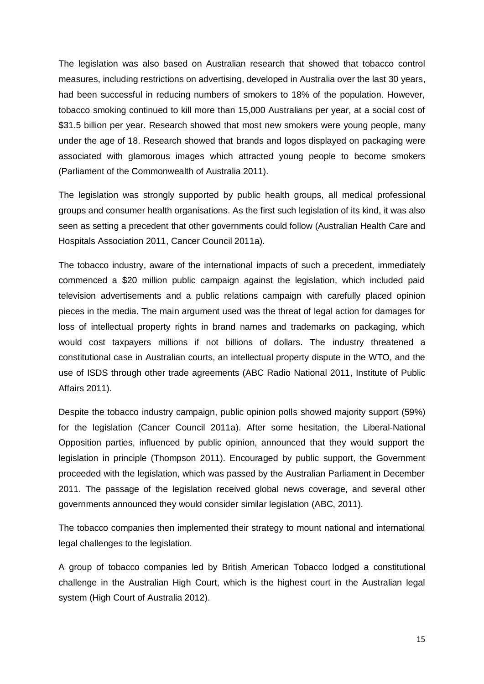The legislation was also based on Australian research that showed that tobacco control measures, including restrictions on advertising, developed in Australia over the last 30 years, had been successful in reducing numbers of smokers to 18% of the population. However, tobacco smoking continued to kill more than 15,000 Australians per year, at a social cost of \$31.5 billion per year. Research showed that most new smokers were young people, many under the age of 18. Research showed that brands and logos displayed on packaging were associated with glamorous images which attracted young people to become smokers (Parliament of the Commonwealth of Australia 2011).

The legislation was strongly supported by public health groups, all medical professional groups and consumer health organisations. As the first such legislation of its kind, it was also seen as setting a precedent that other governments could follow (Australian Health Care and Hospitals Association 2011, Cancer Council 2011a).

The tobacco industry, aware of the international impacts of such a precedent, immediately commenced a \$20 million public campaign against the legislation, which included paid television advertisements and a public relations campaign with carefully placed opinion pieces in the media. The main argument used was the threat of legal action for damages for loss of intellectual property rights in brand names and trademarks on packaging, which would cost taxpayers millions if not billions of dollars. The industry threatened a constitutional case in Australian courts, an intellectual property dispute in the WTO, and the use of ISDS through other trade agreements (ABC Radio National 2011, Institute of Public Affairs 2011).

Despite the tobacco industry campaign, public opinion polls showed majority support (59%) for the legislation (Cancer Council 2011a). After some hesitation, the Liberal-National Opposition parties, influenced by public opinion, announced that they would support the legislation in principle (Thompson 2011). Encouraged by public support, the Government proceeded with the legislation, which was passed by the Australian Parliament in December 2011. The passage of the legislation received global news coverage, and several other governments announced they would consider similar legislation (ABC, 2011).

The tobacco companies then implemented their strategy to mount national and international legal challenges to the legislation.

A group of tobacco companies led by British American Tobacco lodged a constitutional challenge in the Australian High Court, which is the highest court in the Australian legal system (High Court of Australia 2012).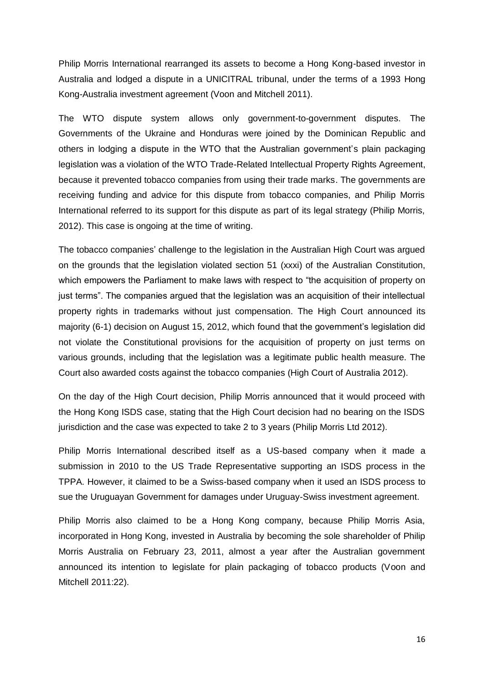Philip Morris International rearranged its assets to become a Hong Kong-based investor in Australia and lodged a dispute in a UNICITRAL tribunal, under the terms of a 1993 Hong Kong-Australia investment agreement (Voon and Mitchell 2011).

The WTO dispute system allows only government-to-government disputes. The Governments of the Ukraine and Honduras were joined by the Dominican Republic and others in lodging a dispute in the WTO that the Australian government's plain packaging legislation was a violation of the WTO Trade-Related Intellectual Property Rights Agreement, because it prevented tobacco companies from using their trade marks. The governments are receiving funding and advice for this dispute from tobacco companies, and Philip Morris International referred to its support for this dispute as part of its legal strategy (Philip Morris, 2012). This case is ongoing at the time of writing.

The tobacco companies' challenge to the legislation in the Australian High Court was argued on the grounds that the legislation violated section 51 (xxxi) of the Australian Constitution, which empowers the Parliament to make laws with respect to "the acquisition of property on just terms". The companies argued that the legislation was an acquisition of their intellectual property rights in trademarks without just compensation. The High Court announced its majority (6-1) decision on August 15, 2012, which found that the government's legislation did not violate the Constitutional provisions for the acquisition of property on just terms on various grounds, including that the legislation was a legitimate public health measure. The Court also awarded costs against the tobacco companies (High Court of Australia 2012).

On the day of the High Court decision, Philip Morris announced that it would proceed with the Hong Kong ISDS case, stating that the High Court decision had no bearing on the ISDS jurisdiction and the case was expected to take 2 to 3 years (Philip Morris Ltd 2012).

Philip Morris International described itself as a US-based company when it made a submission in 2010 to the US Trade Representative supporting an ISDS process in the TPPA. However, it claimed to be a Swiss-based company when it used an ISDS process to sue the Uruguayan Government for damages under Uruguay-Swiss investment agreement.

Philip Morris also claimed to be a Hong Kong company, because Philip Morris Asia, incorporated in Hong Kong, invested in Australia by becoming the sole shareholder of Philip Morris Australia on February 23, 2011, almost a year after the Australian government announced its intention to legislate for plain packaging of tobacco products (Voon and Mitchell 2011:22).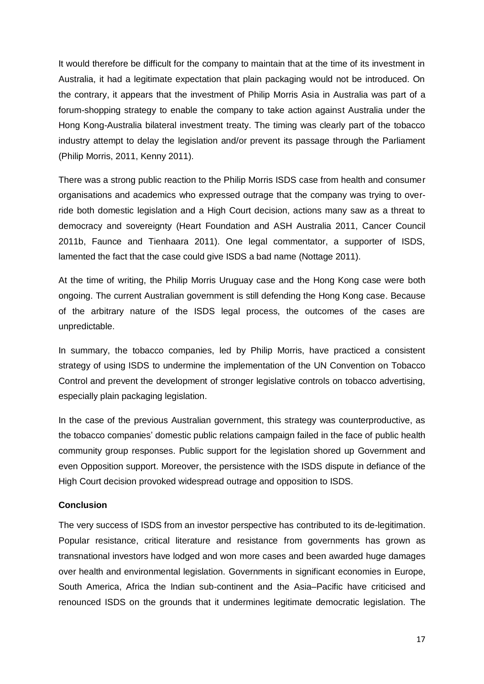It would therefore be difficult for the company to maintain that at the time of its investment in Australia, it had a legitimate expectation that plain packaging would not be introduced. On the contrary, it appears that the investment of Philip Morris Asia in Australia was part of a forum-shopping strategy to enable the company to take action against Australia under the Hong Kong-Australia bilateral investment treaty. The timing was clearly part of the tobacco industry attempt to delay the legislation and/or prevent its passage through the Parliament (Philip Morris, 2011, Kenny 2011).

There was a strong public reaction to the Philip Morris ISDS case from health and consumer organisations and academics who expressed outrage that the company was trying to override both domestic legislation and a High Court decision, actions many saw as a threat to democracy and sovereignty (Heart Foundation and ASH Australia 2011, Cancer Council 2011b, Faunce and Tienhaara 2011). One legal commentator, a supporter of ISDS, lamented the fact that the case could give ISDS a bad name (Nottage 2011).

At the time of writing, the Philip Morris Uruguay case and the Hong Kong case were both ongoing. The current Australian government is still defending the Hong Kong case. Because of the arbitrary nature of the ISDS legal process, the outcomes of the cases are unpredictable.

In summary, the tobacco companies, led by Philip Morris, have practiced a consistent strategy of using ISDS to undermine the implementation of the UN Convention on Tobacco Control and prevent the development of stronger legislative controls on tobacco advertising, especially plain packaging legislation.

In the case of the previous Australian government, this strategy was counterproductive, as the tobacco companies' domestic public relations campaign failed in the face of public health community group responses. Public support for the legislation shored up Government and even Opposition support. Moreover, the persistence with the ISDS dispute in defiance of the High Court decision provoked widespread outrage and opposition to ISDS.

### **Conclusion**

The very success of ISDS from an investor perspective has contributed to its de-legitimation. Popular resistance, critical literature and resistance from governments has grown as transnational investors have lodged and won more cases and been awarded huge damages over health and environmental legislation. Governments in significant economies in Europe, South America, Africa the Indian sub-continent and the Asia–Pacific have criticised and renounced ISDS on the grounds that it undermines legitimate democratic legislation. The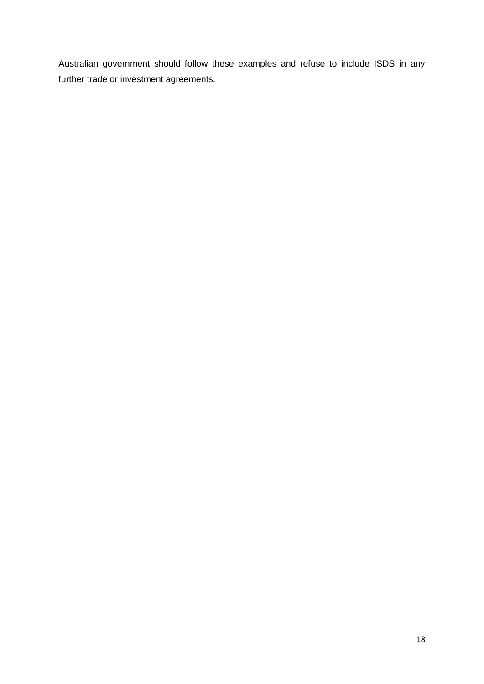Australian government should follow these examples and refuse to include ISDS in any further trade or investment agreements.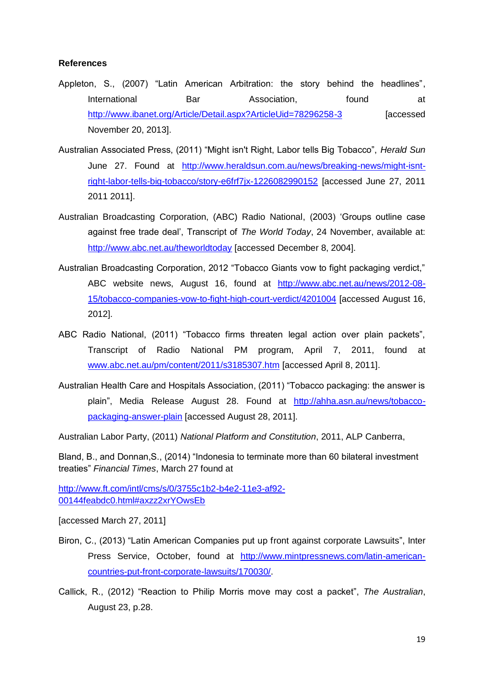## **References**

- Appleton, S., (2007) "Latin American Arbitration: the story behind the headlines", International Bar Basociation, found at <http://www.ibanet.org/Article/Detail.aspx?ArticleUid=78296258-3> [accessed] November 20, 2013].
- Australian Associated Press, (2011) "Might isn't Right, Labor tells Big Tobacco", *Herald Sun* June 27. Found at [http://www.heraldsun.com.au/news/breaking-news/might-isnt](http://www.heraldsun.com.au/news/breaking-news/might-isnt-right-labor-tells-big-tobacco/story-e6frf7jx-1226082990152)[right-labor-tells-big-tobacco/story-e6frf7jx-1226082990152](http://www.heraldsun.com.au/news/breaking-news/might-isnt-right-labor-tells-big-tobacco/story-e6frf7jx-1226082990152) [accessed June 27, 2011 2011 2011].
- Australian Broadcasting Corporation, (ABC) Radio National, (2003) 'Groups outline case against free trade deal', Transcript of *The World Today*, 24 November, available at: <http://www.abc.net.au/theworldtoday> [accessed December 8, 2004].
- Australian Broadcasting Corporation, 2012 "Tobacco Giants vow to fight packaging verdict," ABC website news, August 16, found at [http://www.abc.net.au/news/2012-08-](http://www.abc.net.au/news/2012-08-15/tobacco-companies-vow-to-fight-high-court-verdict/4201004) [15/tobacco-companies-vow-to-fight-high-court-verdict/4201004](http://www.abc.net.au/news/2012-08-15/tobacco-companies-vow-to-fight-high-court-verdict/4201004) [accessed August 16, 2012].
- ABC Radio National, (2011) "Tobacco firms threaten legal action over plain packets", Transcript of Radio National PM program, April 7, 2011, found at [www.abc.net.au/pm/content/2011/s3185307.htm](http://www.abc.net.au/pm/content/2011/s3185307.htm) [accessed April 8, 2011].
- Australian Health Care and Hospitals Association, (2011) "Tobacco packaging: the answer is plain", Media Release August 28. Found at [http://ahha.asn.au/news/tobacco](http://ahha.asn.au/news/tobacco-packaging-answer-plain)[packaging-answer-plain](http://ahha.asn.au/news/tobacco-packaging-answer-plain) [accessed August 28, 2011].

Australian Labor Party, (2011) *National Platform and Constitution*, 2011, ALP Canberra,

Bland, B., and Donnan,S., (2014) "Indonesia to terminate more than 60 bilateral investment treaties" *Financial Times*, March 27 found at

[http://www.ft.com/intl/cms/s/0/3755c1b2-b4e2-11e3-af92-](http://www.ft.com/intl/cms/s/0/3755c1b2-b4e2-11e3-af92-00144feabdc0.html#axzz2xrYOwsEb) [00144feabdc0.html#axzz2xrYOwsEb](http://www.ft.com/intl/cms/s/0/3755c1b2-b4e2-11e3-af92-00144feabdc0.html#axzz2xrYOwsEb)

[accessed March 27, 2011]

- Biron, C., (2013) "Latin American Companies put up front against corporate Lawsuits", Inter Press Service, October, found at [http://www.mintpressnews.com/latin-american](http://www.mintpressnews.com/latin-american-countries-put-front-corporate-lawsuits/170030/)[countries-put-front-corporate-lawsuits/170030/.](http://www.mintpressnews.com/latin-american-countries-put-front-corporate-lawsuits/170030/)
- Callick, R., (2012) "Reaction to Philip Morris move may cost a packet", *The Australian*, August 23, p.28.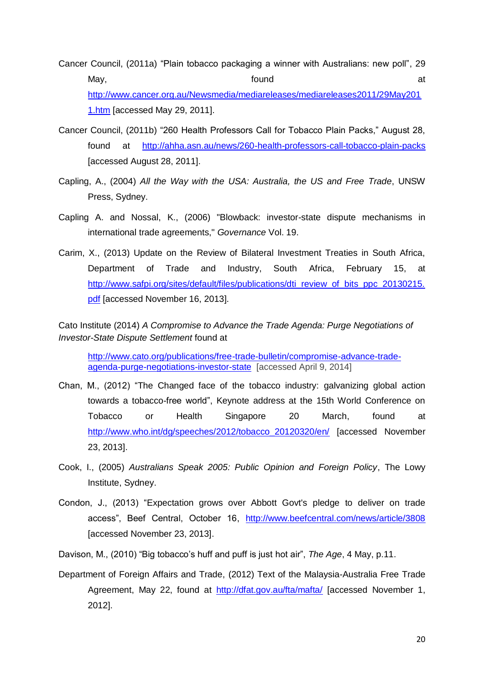Cancer Council, (2011a) "Plain tobacco packaging a winner with Australians: new poll", 29 May, the contract of the contract of the found  $\qquad \qquad$  at [http://www.cancer.org.au/Newsmedia/mediareleases/mediareleases2011/29May201](http://www.cancer.org.au/Newsmedia/mediareleases/mediareleases2011/29May2011.htm) [1.htm](http://www.cancer.org.au/Newsmedia/mediareleases/mediareleases2011/29May2011.htm) [accessed May 29, 2011].

- Cancer Council, (2011b) "260 Health Professors Call for Tobacco Plain Packs," August 28, found at <http://ahha.asn.au/news/260-health-professors-call-tobacco-plain-packs> [accessed August 28, 2011].
- Capling, A., (2004) *All the Way with the USA: Australia, the US and Free Trade*, UNSW Press, Sydney.
- Capling A. and Nossal, K., (2006) "Blowback: investor-state dispute mechanisms in international trade agreements," *Governance* Vol. 19.
- Carim, X., (2013) Update on the Review of Bilateral Investment Treaties in South Africa, Department of Trade and Industry, South Africa, February 15, at [http://www.safpi.org/sites/default/files/publications/dti\\_review\\_of\\_bits\\_ppc\\_20130215.](http://www.safpi.org/sites/default/files/publications/dti_review_of_bits_ppc_20130215.pdf) [pdf](http://www.safpi.org/sites/default/files/publications/dti_review_of_bits_ppc_20130215.pdf) [accessed November 16, 2013].

Cato Institute (2014) *A Compromise to Advance the Trade Agenda: Purge Negotiations of Investor-State Dispute Settlement* found at

[http://www.cato.org/publications/free-trade-bulletin/compromise-advance-trade](http://www.cato.org/publications/free-trade-bulletin/compromise-advance-trade-agenda-purge-negotiations-investor-state)[agenda-purge-negotiations-investor-state](http://www.cato.org/publications/free-trade-bulletin/compromise-advance-trade-agenda-purge-negotiations-investor-state) [accessed April 9, 2014]

- Chan, M., (2012) "The Changed face of the tobacco industry: galvanizing global action towards a tobacco-free world", Keynote address at the 15th World Conference on Tobacco or Health Singapore 20 March, found at [http://www.who.int/dg/speeches/2012/tobacco\\_20120320/en/](http://www.who.int/dg/speeches/2012/tobacco_20120320/en/) [accessed November 23, 2013].
- Cook, I., (2005) *Australians Speak 2005: Public Opinion and Foreign Policy*, The Lowy Institute, Sydney.
- Condon, J., (2013) "Expectation grows over Abbott Govt's pledge to deliver on trade access", Beef Central, October 16, <http://www.beefcentral.com/news/article/3808> [accessed November 23, 2013].
- Davison, M., (2010) "Big tobacco's huff and puff is just hot air", *The Age*, 4 May, p.11.
- Department of Foreign Affairs and Trade, (2012) Text of the Malaysia-Australia Free Trade Agreement, May 22, found at <http://dfat.gov.au/fta/mafta/> [accessed November 1, 2012].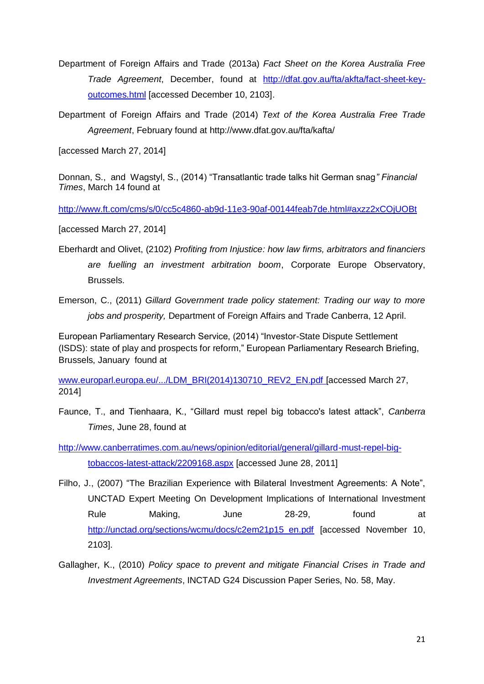- Department of Foreign Affairs and Trade (2013a) *Fact Sheet on the Korea Australia Free Trade Agreement*, December, found at [http://dfat.gov.au/fta/akfta/fact-sheet-key](http://dfat.gov.au/fta/akfta/fact-sheet-key-outcomes.html)[outcomes.html](http://dfat.gov.au/fta/akfta/fact-sheet-key-outcomes.html) [accessed December 10, 2103].
- Department of Foreign Affairs and Trade (2014) *Text of the Korea Australia Free Trade Agreement*, February found at http://www.dfat.gov.au/fta/kafta/

[accessed March 27, 2014]

Donnan, S., and Wagstyl, S., (2014) "Transatlantic trade talks hit German snag*" Financial Times*, March 14 found at

<http://www.ft.com/cms/s/0/cc5c4860-ab9d-11e3-90af-00144feab7de.html#axzz2xCOjUOBt>

[accessed March 27, 2014]

Eberhardt and Olivet, (2102) *Profiting from Injustice: how law firms, arbitrators and financiers are fuelling an investment arbitration boom*, Corporate Europe Observatory, Brussels.

Emerson, C., (2011) *Gillard Government trade policy statement: Trading our way to more jobs and prosperity,* Department of Foreign Affairs and Trade Canberra, 12 April.

European Parliamentary Research Service, (2014) "Investor-State Dispute Settlement (ISDS): state of play and prospects for reform," European Parliamentary Research Briefing, Brussels, January found at

[www.europarl.europa.eu/.../LDM\\_BRI\(2014\)130710\\_REV2\\_EN.pdf](http://www.europarl.europa.eu/.../LDM_BRI(2014)130710_REV2_EN.pdf) [accessed March 27, 2014]

Faunce, T., and Tienhaara, K., "Gillard must repel big tobacco's latest attack", *Canberra Times*, June 28, found at

[http://www.canberratimes.com.au/news/opinion/editorial/general/gillard-must-repel-big](http://www.canberratimes.com.au/news/opinion/editorial/general/gillard-must-repel-big-tobaccos-latest-attack/2209168.aspx)[tobaccos-latest-attack/2209168.aspx](http://www.canberratimes.com.au/news/opinion/editorial/general/gillard-must-repel-big-tobaccos-latest-attack/2209168.aspx) [accessed June 28, 2011]

- Filho, J., (2007) "The Brazilian Experience with Bilateral Investment Agreements: A Note", UNCTAD Expert Meeting On Development Implications of International Investment Rule Making, June 28-29, found at [http://unctad.org/sections/wcmu/docs/c2em21p15\\_en.pdf](http://unctad.org/sections/wcmu/docs/c2em21p15_en.pdf) [accessed November 10, 2103].
- Gallagher, K., (2010) *Policy space to prevent and mitigate Financial Crises in Trade and Investment Agreements*, INCTAD G24 Discussion Paper Series, No. 58, May.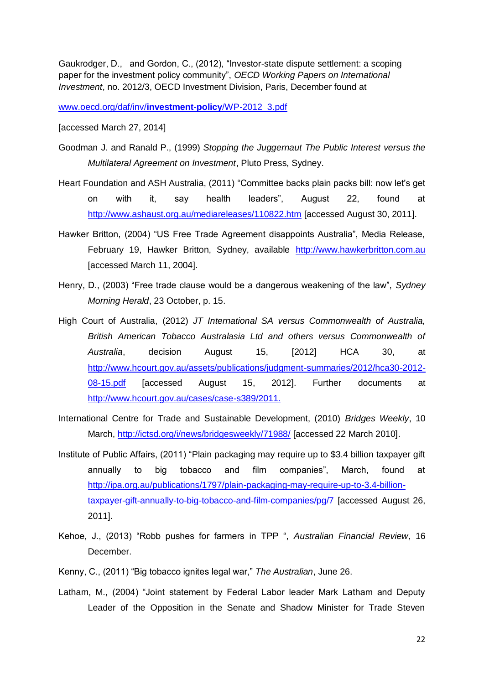Gaukrodger, D., and Gordon, C., (2012), "Investor-state dispute settlement: a scoping paper for the investment policy community", *OECD Working Papers on International Investment*, no. 2012/3, OECD Investment Division, Paris, December found at

[www.oecd.org/daf/inv/](http://www.oecd.org/daf/inv/investment-policy/WP-2012_3.pdf)**investment**-**policy**/WP-2012\_3.pdf

[accessed March 27, 2014]

- Goodman J. and Ranald P., (1999) *Stopping the Juggernaut The Public Interest versus the Multilateral Agreement on Investment*, Pluto Press, Sydney.
- Heart Foundation and ASH Australia, (2011) "Committee backs plain packs bill: now let's get on with it, say health leaders", August 22, found at <http://www.ashaust.org.au/mediareleases/110822.htm> [accessed August 30, 2011].
- Hawker Britton, (2004) "US Free Trade Agreement disappoints Australia", Media Release, February 19, Hawker Britton, Sydney, available [http://www.hawkerbritton.com.au](http://www.hawkerbritton.com.au/) [accessed March 11, 2004].
- Henry, D., (2003) "Free trade clause would be a dangerous weakening of the law", *Sydney Morning Herald*, 23 October, p. 15.
- High Court of Australia, (2012) *JT International SA versus Commonwealth of Australia, British American Tobacco Australasia Ltd and others versus Commonwealth of Australia*, decision August 15, [2012] HCA 30, at [http://www.hcourt.gov.au/assets/publications/judgment-summaries/2012/hca30-2012-](http://www.hcourt.gov.au/assets/publications/judgment-summaries/2012/hca30-2012-08-15.pdf) [08-15.pdf](http://www.hcourt.gov.au/assets/publications/judgment-summaries/2012/hca30-2012-08-15.pdf) [accessed August 15, 2012]. Further documents at [http://www.hcourt.gov.au/cases/case-s389/2011.](http://www.hcourt.gov.au/cases/case-s389/2011)
- International Centre for Trade and Sustainable Development, (2010) *Bridges Weekly*, 10 March,<http://ictsd.org/i/news/bridgesweekly/71988/> [accessed 22 March 2010].
- Institute of Public Affairs, (2011) "Plain packaging may require up to \$3.4 billion taxpayer gift annually to big tobacco and film companies", March, found at [http://ipa.org.au/publications/1797/plain-packaging-may-require-up-to-3.4-billion](http://ipa.org.au/publications/1797/plain-packaging-may-require-up-to-3.4-billion-taxpayer-gift-annually-to-big-tobacco-and-film-companies/pg/7)[taxpayer-gift-annually-to-big-tobacco-and-film-companies/pg/7](http://ipa.org.au/publications/1797/plain-packaging-may-require-up-to-3.4-billion-taxpayer-gift-annually-to-big-tobacco-and-film-companies/pg/7) [accessed August 26, 2011].
- Kehoe, J., (2013) "Robb pushes for farmers in TPP ", *Australian Financial Review*, 16 December.
- Kenny, C., (2011) "Big tobacco ignites legal war," *The Australian*, June 26.
- Latham, M., (2004) "Joint statement by Federal Labor leader Mark Latham and Deputy Leader of the Opposition in the Senate and Shadow Minister for Trade Steven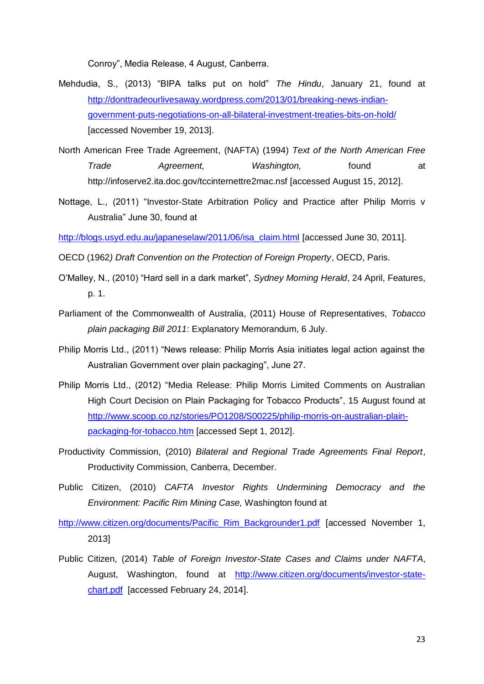Conroy", Media Release, 4 August, Canberra.

- Mehdudia, S., (2013) "BIPA talks put on hold" *The Hindu*, January 21, found at [http://donttradeourlivesaway.wordpress.com/2013/01/breaking-news-indian](http://donttradeourlivesaway.wordpress.com/2013/01/breaking-news-indian-government-puts-negotiations-on-all-bilateral-investment-treaties-bits-on-hold/)[government-puts-negotiations-on-all-bilateral-investment-treaties-bits-on-hold/](http://donttradeourlivesaway.wordpress.com/2013/01/breaking-news-indian-government-puts-negotiations-on-all-bilateral-investment-treaties-bits-on-hold/) [accessed November 19, 2013].
- North American Free Trade Agreement, (NAFTA) (1994) *Text of the North American Free Trade Agreement, Washington,* found at http://infoserve2.ita.doc.gov/tccinternettre2mac.nsf [accessed August 15, 2012].
- Nottage, L., (2011) ["Investor-State Arbitration Policy and Practice after Philip Morris v](http://blogs.usyd.edu.au/japaneselaw/2011/06/isa_claim.html)  [Australia"](http://blogs.usyd.edu.au/japaneselaw/2011/06/isa_claim.html) June 30, found at

[http://blogs.usyd.edu.au/japaneselaw/2011/06/isa\\_claim.html](http://blogs.usyd.edu.au/japaneselaw/2011/06/isa_claim.html) [accessed June 30, 2011].

- OECD (1962*) Draft Convention on the Protection of Foreign Property*, OECD, Paris.
- O'Malley, N., (2010) "Hard sell in a dark market", *Sydney Morning Herald*, 24 April, Features, p. 1.
- Parliament of the Commonwealth of Australia, (2011) House of Representatives, *Tobacco plain packaging Bill 2011*: Explanatory Memorandum, 6 July.
- Philip Morris Ltd., (2011) "News release: Philip Morris Asia initiates legal action against the Australian Government over plain packaging", June 27.
- Philip Morris Ltd., (2012) "Media Release: Philip Morris Limited Comments on Australian High Court Decision on Plain Packaging for Tobacco Products", 15 August found at [http://www.scoop.co.nz/stories/PO1208/S00225/philip-morris-on-australian-plain](http://www.scoop.co.nz/stories/PO1208/S00225/philip-morris-on-australian-plain-packaging-for-tobacco.htm)[packaging-for-tobacco.htm](http://www.scoop.co.nz/stories/PO1208/S00225/philip-morris-on-australian-plain-packaging-for-tobacco.htm) [accessed Sept 1, 2012].
- Productivity Commission, (2010) *Bilateral and Regional Trade Agreements Final Report*, Productivity Commission, Canberra, December.
- Public Citizen, (2010) *CAFTA Investor Rights Undermining Democracy and the Environment: Pacific Rim Mining Case,* Washington found at

[http://www.citizen.org/documents/Pacific\\_Rim\\_Backgrounder1.pdf](http://www.citizen.org/documents/Pacific_Rim_Backgrounder1.pdf) [accessed November 1, 2013]

Public Citizen, (2014) *Table of Foreign Investor-State Cases and Claims under NAFTA*, August, Washington, found at [http://www.citizen.org/documents/investor-state](http://www.citizen.org/documents/investor-state-chart.pdf)[chart.pdf](http://www.citizen.org/documents/investor-state-chart.pdf) [accessed February 24, 2014].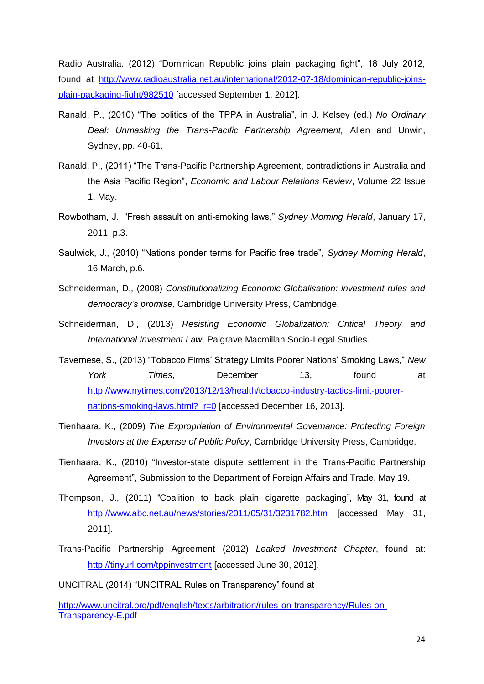Radio Australia*,* (2012) "Dominican Republic joins plain packaging fight", 18 July 2012, found at [http://www.radioaustralia.net.au/international/2012-07-18/dominican-republic-joins](http://www.radioaustralia.net.au/international/2012-07-18/dominican-republic-joins-plain-packaging-fight/982510)[plain-packaging-fight/982510](http://www.radioaustralia.net.au/international/2012-07-18/dominican-republic-joins-plain-packaging-fight/982510) [accessed September 1, 2012].

- Ranald, P., (2010) "The politics of the TPPA in Australia", in J. Kelsey (ed.) *No Ordinary Deal: Unmasking the Trans-Pacific Partnership Agreement,* Allen and Unwin, Sydney, pp. 40-61.
- Ranald, P., (2011) "The Trans-Pacific Partnership Agreement, contradictions in Australia and the Asia Pacific Region", *Economic and Labour Relations Review*, Volume 22 Issue 1, May.
- Rowbotham, J., "Fresh assault on anti-smoking laws," *Sydney Morning Herald*, January 17, 2011, p.3.
- Saulwick, J., (2010) "Nations ponder terms for Pacific free trade", *Sydney Morning Herald*, 16 March, p.6.
- Schneiderman, D., (2008) *Constitutionalizing Economic Globalisation: investment rules and democracy's promise,* Cambridge University Press, Cambridge.
- Schneiderman, D., (2013) *Resisting Economic Globalization: Critical Theory and International Investment Law,* Palgrave Macmillan Socio-Legal Studies.
- Tavernese, S., (2013) "Tobacco Firms' Strategy Limits Poorer Nations' Smoking Laws," *New York Times*, December 13, found at [http://www.nytimes.com/2013/12/13/health/tobacco-industry-tactics-limit-poorer](http://www.nytimes.com/2013/12/13/health/tobacco-industry-tactics-limit-poorer-nations-smoking-laws.html?_r=0)[nations-smoking-laws.html?\\_r=0](http://www.nytimes.com/2013/12/13/health/tobacco-industry-tactics-limit-poorer-nations-smoking-laws.html?_r=0) [accessed December 16, 2013].
- Tienhaara, K., (2009) *The Expropriation of Environmental Governance: Protecting Foreign Investors at the Expense of Public Policy*, Cambridge University Press, Cambridge.
- Tienhaara, K., (2010) "Investor-state dispute settlement in the Trans-Pacific Partnership Agreement", Submission to the Department of Foreign Affairs and Trade, May 19.
- Thompson, J., (2011) "Coalition to back plain cigarette packaging", May 31, found at <http://www.abc.net.au/news/stories/2011/05/31/3231782.htm> [accessed May 31, 2011].
- Trans-Pacific Partnership Agreement (2012) *Leaked Investment Chapter*, found at: [http://tinyurl.com/tppinvestment](http://www.citizenstrade.org/ctc/wp-content/uploads/2012/06/tppinvestment.pdf) [accessed June 30, 2012].

UNCITRAL (2014) "UNCITRAL Rules on Transparency" found at

[http://www.uncitral.org/pdf/english/texts/arbitration/rules-on-transparency/Rules-on-](http://www.uncitral.org/pdf/english/texts/arbitration/rules-on-transparency/Rules-on-Transparency-E.pdf)[Transparency-E.pdf](http://www.uncitral.org/pdf/english/texts/arbitration/rules-on-transparency/Rules-on-Transparency-E.pdf)